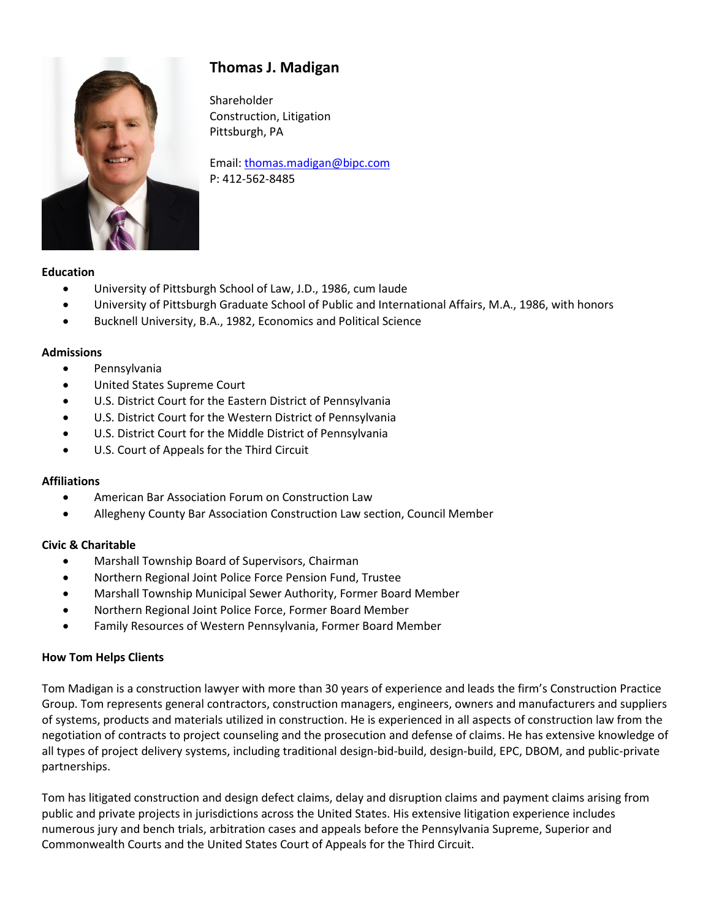# **Thomas J. Madigan**



Shareholder Construction, Litigation Pittsburgh, PA

Email[: thomas.madigan@bipc.com](mailto:thomas.madigan@bipc.com) P: 412-562-8485

#### **Education**

- University of Pittsburgh School of Law, J.D., 1986, cum laude
- University of Pittsburgh Graduate School of Public and International Affairs, M.A., 1986, with honors
- Bucknell University, B.A., 1982, Economics and Political Science

#### **Admissions**

- Pennsylvania
- United States Supreme Court
- U.S. District Court for the Eastern District of Pennsylvania
- U.S. District Court for the Western District of Pennsylvania
- U.S. District Court for the Middle District of Pennsylvania
- U.S. Court of Appeals for the Third Circuit

#### **Affiliations**

- American Bar Association Forum on Construction Law
- Allegheny County Bar Association Construction Law section, Council Member

#### **Civic & Charitable**

- Marshall Township Board of Supervisors, Chairman
- Northern Regional Joint Police Force Pension Fund, Trustee
- Marshall Township Municipal Sewer Authority, Former Board Member
- Northern Regional Joint Police Force, Former Board Member
- Family Resources of Western Pennsylvania, Former Board Member

#### **How Tom Helps Clients**

Tom Madigan is a construction lawyer with more than 30 years of experience and leads the firm's Construction Practice Group. Tom represents general contractors, construction managers, engineers, owners and manufacturers and suppliers of systems, products and materials utilized in construction. He is experienced in all aspects of construction law from the negotiation of contracts to project counseling and the prosecution and defense of claims. He has extensive knowledge of all types of project delivery systems, including traditional design-bid-build, design-build, EPC, DBOM, and public-private partnerships.

Tom has litigated construction and design defect claims, delay and disruption claims and payment claims arising from public and private projects in jurisdictions across the United States. His extensive litigation experience includes numerous jury and bench trials, arbitration cases and appeals before the Pennsylvania Supreme, Superior and Commonwealth Courts and the United States Court of Appeals for the Third Circuit.